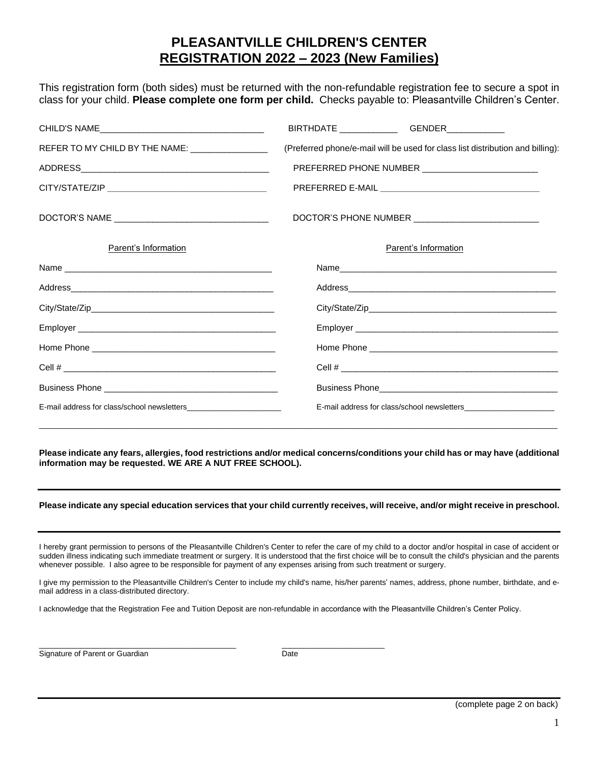## **PLEASANTVILLE CHILDREN'S CENTER REGISTRATION 2022 – 2023 (New Families)**

This registration form (both sides) must be returned with the non-refundable registration fee to secure a spot in class for your child. **Please complete one form per child.** Checks payable to: Pleasantville Children's Center.

|                                                 | BIRTHDATE ________________GENDER______________                                 |
|-------------------------------------------------|--------------------------------------------------------------------------------|
| REFER TO MY CHILD BY THE NAME: ________________ | (Preferred phone/e-mail will be used for class list distribution and billing): |
|                                                 | PREFERRED PHONE NUMBER ___________________________                             |
|                                                 |                                                                                |
|                                                 |                                                                                |
| Parent's Information                            | Parent's Information                                                           |
|                                                 |                                                                                |
|                                                 |                                                                                |
|                                                 |                                                                                |
|                                                 |                                                                                |
|                                                 |                                                                                |
|                                                 |                                                                                |
|                                                 |                                                                                |
|                                                 |                                                                                |

**Please indicate any fears, allergies, food restrictions and/or medical concerns/conditions your child has or may have (additional information may be requested. WE ARE A NUT FREE SCHOOL).**

\_\_\_\_\_\_\_\_\_\_\_\_\_\_\_\_\_\_\_\_\_\_\_\_\_\_\_\_\_\_\_\_\_\_\_\_\_\_\_\_\_\_\_\_\_\_\_\_\_\_\_\_\_\_\_\_\_\_\_\_\_\_\_\_\_\_\_\_\_\_\_\_\_\_\_\_\_\_\_\_\_\_\_\_\_\_\_\_\_\_\_\_\_\_\_\_\_\_\_\_\_\_\_\_\_\_\_\_\_\_\_\_\_\_\_\_\_\_\_\_\_

## **Please indicate any special education services that your child currently receives, will receive, and/or might receive in preschool.**

I hereby grant permission to persons of the Pleasantville Children's Center to refer the care of my child to a doctor and/or hospital in case of accident or sudden illness indicating such immediate treatment or surgery. It is understood that the first choice will be to consult the child's physician and the parents whenever possible. I also agree to be responsible for payment of any expenses arising from such treatment or surgery.

I give my permission to the Pleasantville Children's Center to include my child's name, his/her parents' names, address, phone number, birthdate, and email address in a class-distributed directory.

I acknowledge that the Registration Fee and Tuition Deposit are non-refundable in accordance with the Pleasantville Children's Center Policy.

Signature of Parent or Guardian Date Date

 $\_$  , and the set of the set of the set of the set of the set of the set of the set of the set of the set of the set of the set of the set of the set of the set of the set of the set of the set of the set of the set of th